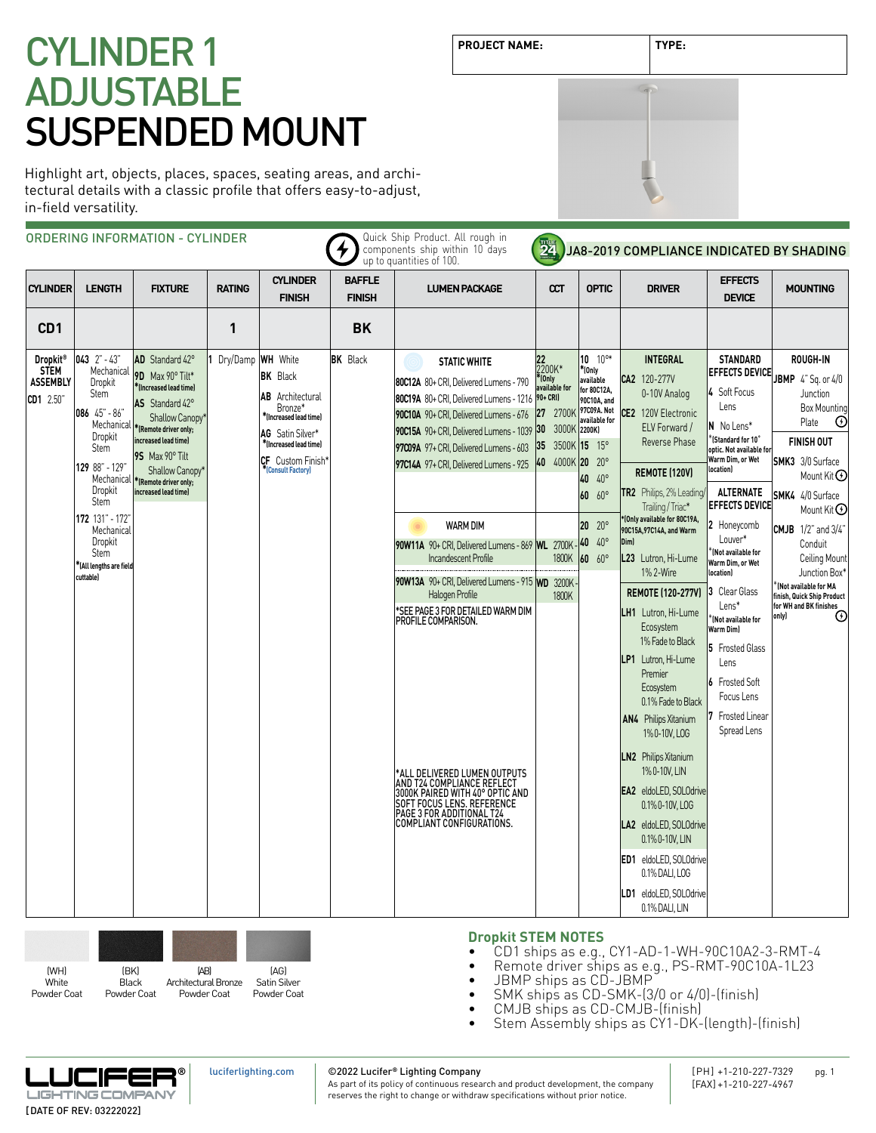# CYLINDER 1 ADJUSTABLE SUSPENDED MOUNT

Highlight art, objects, places, spaces, seating areas, and architectural details with a classic profile that offers easy-to-adjust, in-field versatility.

|                                                                     |                                                                                                                                                                                                                                                          | <b>ORDERING INFORMATION - CYLINDER</b>                                                                                                                                                                                                     |                   |                                                                                                                                                                            |                                | Quick Ship Product. All rough in<br>components ship within 10 days<br>up to quantities of 100.                                                                                                                                                                                                                                                                                                                                                                                                                                                                                                                                                                                                              | 24                                                                                                                                  |                                                                                                                                                                                                          | JA8-2019 COMPLIANCE INDICATED BY SHADING                                                                                                                                                                                                                                                                                                                                                                                                                                                                                                                                                                                                                                                                                    |                                                                                                                                                                                                                                                                                                                                                                                                                                                                                                |                                                                                                                                                                                                                                                                                                                                                                                             |
|---------------------------------------------------------------------|----------------------------------------------------------------------------------------------------------------------------------------------------------------------------------------------------------------------------------------------------------|--------------------------------------------------------------------------------------------------------------------------------------------------------------------------------------------------------------------------------------------|-------------------|----------------------------------------------------------------------------------------------------------------------------------------------------------------------------|--------------------------------|-------------------------------------------------------------------------------------------------------------------------------------------------------------------------------------------------------------------------------------------------------------------------------------------------------------------------------------------------------------------------------------------------------------------------------------------------------------------------------------------------------------------------------------------------------------------------------------------------------------------------------------------------------------------------------------------------------------|-------------------------------------------------------------------------------------------------------------------------------------|----------------------------------------------------------------------------------------------------------------------------------------------------------------------------------------------------------|-----------------------------------------------------------------------------------------------------------------------------------------------------------------------------------------------------------------------------------------------------------------------------------------------------------------------------------------------------------------------------------------------------------------------------------------------------------------------------------------------------------------------------------------------------------------------------------------------------------------------------------------------------------------------------------------------------------------------------|------------------------------------------------------------------------------------------------------------------------------------------------------------------------------------------------------------------------------------------------------------------------------------------------------------------------------------------------------------------------------------------------------------------------------------------------------------------------------------------------|---------------------------------------------------------------------------------------------------------------------------------------------------------------------------------------------------------------------------------------------------------------------------------------------------------------------------------------------------------------------------------------------|
| <b>CYLINDER</b>                                                     | <b>LENGTH</b>                                                                                                                                                                                                                                            | <b>FIXTURE</b>                                                                                                                                                                                                                             | <b>RATING</b>     | <b>CYLINDER</b><br><b>FINISH</b>                                                                                                                                           | <b>BAFFLE</b><br><b>FINISH</b> | <b>LUMEN PACKAGE</b>                                                                                                                                                                                                                                                                                                                                                                                                                                                                                                                                                                                                                                                                                        | CCT                                                                                                                                 | <b>OPTIC</b>                                                                                                                                                                                             | <b>DRIVER</b>                                                                                                                                                                                                                                                                                                                                                                                                                                                                                                                                                                                                                                                                                                               | <b>EFFECTS</b><br><b>DEVICE</b>                                                                                                                                                                                                                                                                                                                                                                                                                                                                | <b>MOUNTING</b>                                                                                                                                                                                                                                                                                                                                                                             |
| CD <sub>1</sub>                                                     |                                                                                                                                                                                                                                                          |                                                                                                                                                                                                                                            | 1                 |                                                                                                                                                                            | <b>BK</b>                      |                                                                                                                                                                                                                                                                                                                                                                                                                                                                                                                                                                                                                                                                                                             |                                                                                                                                     |                                                                                                                                                                                                          |                                                                                                                                                                                                                                                                                                                                                                                                                                                                                                                                                                                                                                                                                                                             |                                                                                                                                                                                                                                                                                                                                                                                                                                                                                                |                                                                                                                                                                                                                                                                                                                                                                                             |
| Dropkit <sup>®</sup><br><b>STEM</b><br><b>ASSEMBLY</b><br>CD1 2.50" | $043$ $2" - 43"$<br>Mechanical<br>Dropkit<br>Stem<br>086 45" - 86"<br>Mechanical<br>Dropkit<br>Stem<br>129 88" - 129"<br>Mechanical<br>Dropkit<br><b>Stem</b><br>172 131" - 172"<br>Mechanical<br>Dropkit<br>Stem<br>KAll lengths are field<br>cuttable) | AD Standard 42°<br>9D Max 90° Tilt*<br>*Increased lead time)<br>AS Standard 42°<br>Shallow Canopy'<br>*(Remote driver only;<br>increased lead time)<br>95 Max 90° Tilt<br>Shallow Canopy*<br>*(Remote driver only;<br>increased lead time) | Dry/Damp WH White | <b>BK</b> Black<br>AB<br>Architectural<br>Bronze*<br>*(Increased lead time)<br>AG Satin Silver*<br>*(Increased lead time)<br><b>CF</b> Custom Finish'<br>(Consult Factory) | <b>BK</b> Black                | <b>STATIC WHITE</b><br>80C12A 80+ CRI, Delivered Lumens - 790<br>80C19A 80+ CRI, Delivered Lumens - 1216<br>90C10A 90+ CRI, Delivered Lumens - 676<br>90C15A 90+ CRI. Delivered Lumens - 1039<br>97C09A 97+ CRI, Delivered Lumens - 603<br>97C14A 97+ CRI, Delivered Lumens - 925<br><b>WARM DIM</b><br>90W11A 90+ CRI. Delivered Lumens - 869   WL 2700K<br>Incandescent Profile<br>90W13A 90+ CRI, Delivered Lumens - 915 WD 3200K<br>Halogen Profile<br>SEE PAGE 3 FOR DETAILED WARM DIM<br>PROFILE COMPARISON.<br>*ALL DELIVERED LUMEN OUTPUTS<br>AND T24 COMPLIANCE REFLECT<br>3000K PAIRED WITH 40° OPTIC AND<br>SOFT FOCUS LENS. REFERENCE<br>PAGE 3 FOR ADDITIONAL T24<br>COMPLIANT CONFIGURATIONS. | 22<br>2200K*<br>*(Only<br>available for<br>$90 + CRI$<br>2700K<br> 27<br>3000K 2200K)<br>30<br>35<br>$ 40\rangle$<br>1800K<br>1800K | $10^{9*}$<br>$*$ (Only<br>available<br>for 80C12A,<br>90C10A, and<br>97C09A. Not<br>available for<br>3500K 15 15°<br>4000K 20 20°<br>40 40°<br>$60^{\circ}$<br>60<br>$20 \t20^\circ$<br>40 40°<br>60 60° | <b>INTEGRAL</b><br>CA2 120-277V<br>0-10V Analog<br>CE2 120V Electronic<br>ELV Forward /<br>Reverse Phase<br><b>REMOTE (120V)</b><br>TR2 Philips, 2% Leading/<br>Trailing / Triac*<br>*(Only available for 80C19A,<br>90C15A, 97C14A, and Warm<br>Dim)<br>L23 Lutron, Hi-Lume<br>1% 2-Wire<br><b>REMOTE (120-277V)</b><br>LH1 Lutron, Hi-Lume<br>Ecosystem<br>1% Fade to Black<br>LP1 Lutron, Hi-Lume<br>Premier<br>Ecosystem<br>0.1% Fade to Black<br>AN4 Philips Xitanium<br>1%0-10V, LOG<br><b>LN2</b> Philips Xitanium<br>1%0-10V, LIN<br>EA2 eldoLED, SOLOdrive<br>0.1% 0-10V, LOG<br>LA2 eldoLED, SOLOdrive<br>0.1% 0-10V, LIN<br>ED1 eldoLED, SOLOdrive<br>0.1% DALI, LOG<br>LD1 eldoLED, SOLOdrive<br>0.1% DALI. LIN | <b>STANDARD</b><br><b>EFFECTS DEVICE</b><br>4 Soft Focus<br>Lens<br>N No Lens*<br>$^*$ (Standard for 10 $^{\circ}$<br>optic. Not available for<br>Warm Dim, or Wet<br>location)<br><b>ALTERNATE</b><br><b>EFFECTS DEVICE</b><br>2 Honeycomb<br>Louver*<br>$\hat{}$ (Not available for<br>Warm Dim, or Wet<br><b>location</b><br>3 Clear Glass<br>$Lens*$<br>(Not available for<br>Warm Dim)<br>5 Frosted Glass<br>Lens<br><b>6</b> Frosted Soft<br>Focus Lens<br>Frosted Linear<br>Spread Lens | <b>ROUGH-IN</b><br>JBMP 4" Sq. or 4/0<br>Junction<br><b>Box Mounting</b><br>Plate<br>$\odot$<br><b>FINISH OUT</b><br><b>SMK3</b> 3/0 Surface<br>Mount Kit $\Theta$<br>SMK4 4/0 Surface<br>Mount Kit $\Theta$<br><b>CMJB</b> $1/2$ " and $3/4$ "<br>Conduit<br>Ceiling Mount<br>Junction Box*<br>(Not available for MA<br>finish, Quick Ship Product<br>for WH and BK finishes<br>only)<br>↔ |
|                                                                     |                                                                                                                                                                                                                                                          |                                                                                                                                                                                                                                            |                   |                                                                                                                                                                            |                                | <b>Dropkit STEM NOTES</b>                                                                                                                                                                                                                                                                                                                                                                                                                                                                                                                                                                                                                                                                                   |                                                                                                                                     |                                                                                                                                                                                                          |                                                                                                                                                                                                                                                                                                                                                                                                                                                                                                                                                                                                                                                                                                                             |                                                                                                                                                                                                                                                                                                                                                                                                                                                                                                |                                                                                                                                                                                                                                                                                                                                                                                             |

- CD1 ships as e.g., CY1-AD-1-WH-90C10A2-3-RMT-4
- Remote driver ships as e.g., PS-RMT-90C10A-1L23
- JBMP ships as CD-JBMP
- SMK ships as CD-SMK-(3/0 or 4/0)-(finish)<br>CMJB ships as CD-CMJB-(finish)
- 
- Stem Assembly ships as CY1-DK-(length)-(finish)



(BK) **Black** Powder Coat

(AB) Architectural Bronze Powder Coat

(WH) **White** Powder Coat

[luciferlighting.com](http://luciferlighting.com/)

(AG) Satin Silver Powder Coat

### ©2022 Lucifer**®** Lighting Company

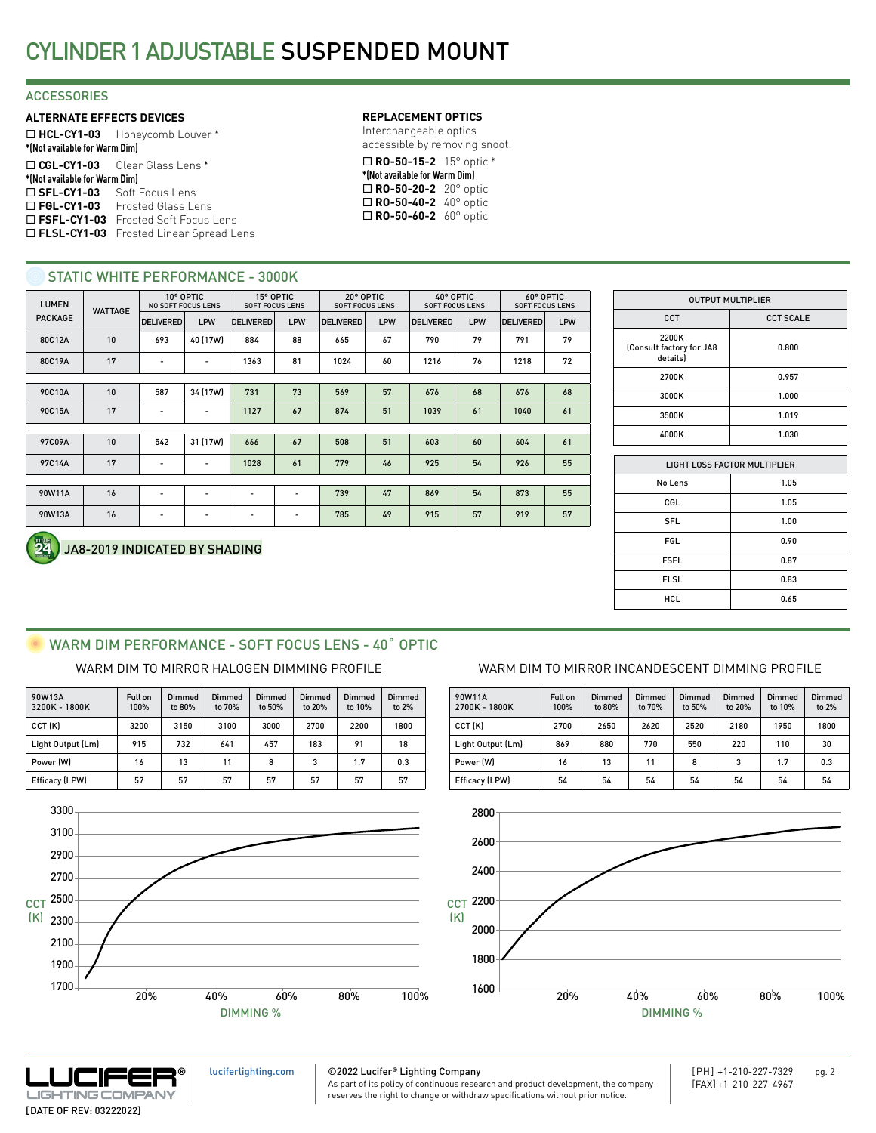### **ACCESSORIES**

### **ALTERNATE EFFECTS DEVICES**

¨ **HCL-CY1-03** Honeycomb Louver \* **\*(Not available for Warm Dim)** ¨ **CGL-CY1-03** Clear Glass Lens \* **\*(Not available for Warm Dim)** □ SFL-CY1-03 Soft Focus Lens □ FGL-CY1-03 Frosted Glass Lens □ FSFL-CY1-03 Frosted Soft Focus Lens □ FLSL-CY1-03 Frosted Linear Spread Lens

### **REPLACEMENT OPTICS**

Interchangeable optics accessible by removing snoot.

¨ **RO-50-15-2** 15° optic \* **\*(Not available for Warm Dim)** ¨ **RO-50-20-2** 20° optic ■ **RO-50-40-2** 40° optic □ **RO-50-60-2** 60° optic

### STATIC WHITE PERFORMANCE - 3000K

| <b>LUMEN</b><br><b>WATTAGE</b> |    | 10° OPTIC<br><b>NO SOFT FOCUS LENS</b> |                          | 15° OPTIC<br><b>SOFT FOCUS LENS</b> |                          | 20° OPTIC<br><b>SOFT FOCUS LENS</b> |            | 40° OPTIC<br><b>SOFT FOCUS LENS</b> |            | 60° OPTIC<br><b>SOFT FOCUS LENS</b> |     |
|--------------------------------|----|----------------------------------------|--------------------------|-------------------------------------|--------------------------|-------------------------------------|------------|-------------------------------------|------------|-------------------------------------|-----|
| <b>PACKAGE</b>                 |    | <b>DELIVERED</b>                       | LPW                      | <b>DELIVERED</b>                    | <b>LPW</b>               | <b>DELIVERED</b>                    | <b>LPW</b> | <b>DELIVERED</b>                    | <b>LPW</b> | <b>DELIVERED</b>                    | LPW |
| 80C12A                         | 10 | 693                                    | 40 (17W)                 | 884                                 | 88                       | 665                                 | 67         | 790                                 | 79         | 791                                 | 79  |
| 80C19A                         | 17 | ٠                                      | $\overline{\phantom{a}}$ | 1363                                | 81                       | 1024                                | 60         | 1216                                | 76         | 1218                                | 72  |
|                                |    |                                        |                          |                                     |                          |                                     |            |                                     |            |                                     |     |
| 90C10A                         | 10 | 587                                    | 34 (17W)                 | 731                                 | 73                       | 569                                 | 57         | 676                                 | 68         | 676                                 | 68  |
| 90C15A                         | 17 | ۰                                      | ٠                        | 1127                                | 67                       | 874                                 | 51         | 1039                                | 61         | 1040                                | 61  |
|                                |    |                                        |                          |                                     |                          |                                     |            |                                     |            |                                     |     |
| 97C09A                         | 10 | 542                                    | 31 (17W)                 | 666                                 | 67                       | 508                                 | 51         | 603                                 | 60         | 604                                 | 61  |
| 97C14A                         | 17 |                                        | ٠                        | 1028                                | 61                       | 779                                 | 46         | 925                                 | 54         | 926                                 | 55  |
|                                |    |                                        |                          |                                     |                          |                                     |            |                                     |            |                                     |     |
| 90W11A                         | 16 |                                        | ۰                        |                                     | $\overline{\phantom{a}}$ | 739                                 | 47         | 869                                 | 54         | 873                                 | 55  |
| 90W13A                         | 16 | ٠                                      | ٠                        | ٠                                   | $\overline{\phantom{a}}$ | 785                                 | 49         | 915                                 | 57         | 919                                 | 57  |

| <b>OUTPUT MULTIPLIER</b>                      |                  |  |  |  |  |
|-----------------------------------------------|------------------|--|--|--|--|
| CCT                                           | <b>CCT SCALE</b> |  |  |  |  |
| 2200K<br>(Consult factory for JA8<br>details) | 0.800            |  |  |  |  |
| 2700K                                         | 0.957            |  |  |  |  |
| 3000K                                         | 1.000            |  |  |  |  |
| 3500K                                         | 1.019            |  |  |  |  |
| 4000K                                         | 1.030            |  |  |  |  |

| <b>LIGHT LOSS FACTOR MULTIPLIER</b> |      |  |  |  |  |
|-------------------------------------|------|--|--|--|--|
| No Lens                             | 1.05 |  |  |  |  |
| CGL                                 | 1.05 |  |  |  |  |
| <b>SFL</b>                          | 1.00 |  |  |  |  |
| FGL                                 | 0.90 |  |  |  |  |
| <b>FSFL</b>                         | 0.87 |  |  |  |  |
| <b>FLSL</b>                         | 0.83 |  |  |  |  |
| HCL                                 | 0.65 |  |  |  |  |
|                                     |      |  |  |  |  |

### JA8-2019 INDICATED BY SHADING

# WARM DIM PERFORMANCE - SOFT FOCUS LENS - 40° OPTIC

| 90W13A<br>3200K - 1800K | Full on<br>100% | Dimmed<br>to 80% | Dimmed<br>to 70% | Dimmed<br>to 50% | Dimmed<br>to 20% | Dimmed<br>to 10% | Dimmed<br>to 2% |
|-------------------------|-----------------|------------------|------------------|------------------|------------------|------------------|-----------------|
| CCT (K)                 | 3200            | 3150             | 3100             | 3000             | 2700             | 2200             | 1800            |
| Light Output (Lm)       | 915             | 732              | 641              | 457              | 183              | 91               | 18              |
| Power (W)               | 16              | 13               | 11               | 8                | 3                | 1.7              | 0.3             |
| Efficacy (LPW)          | 57              | 57               | 57               | 57               | 57               | 57               | 57              |



### WARM DIM TO MIRROR HALOGEN DIMMING PROFILE WARM DIM TO MIRROR INCANDESCENT DIMMING PROFILE

| 90W11A<br>2700K - 1800K | Full on<br>100% | Dimmed<br>to 80% | Dimmed<br>to 70% | <b>Dimmed</b><br>to 50% | Dimmed<br>to 20% | <b>Dimmed</b><br>to 10% | Dimmed<br>to 2% |
|-------------------------|-----------------|------------------|------------------|-------------------------|------------------|-------------------------|-----------------|
| CCT (K)                 | 2700            | 2650             | 2620             | 2520                    | 2180             | 1950                    | 1800            |
| Light Output (Lm)       | 869             | 880              | 770              | 550                     | 220              | 110                     | 30              |
| Power (W)               | 16              | 13               | 11               | 8                       | 3                | 1.7                     | 0.3             |
| Efficacy (LPW)          | 54              | 54               | 54               | 54                      | 54               | 54                      | 54              |





[luciferlighting.com](http://luciferlighting.com/)

©2022 Lucifer**®** Lighting Company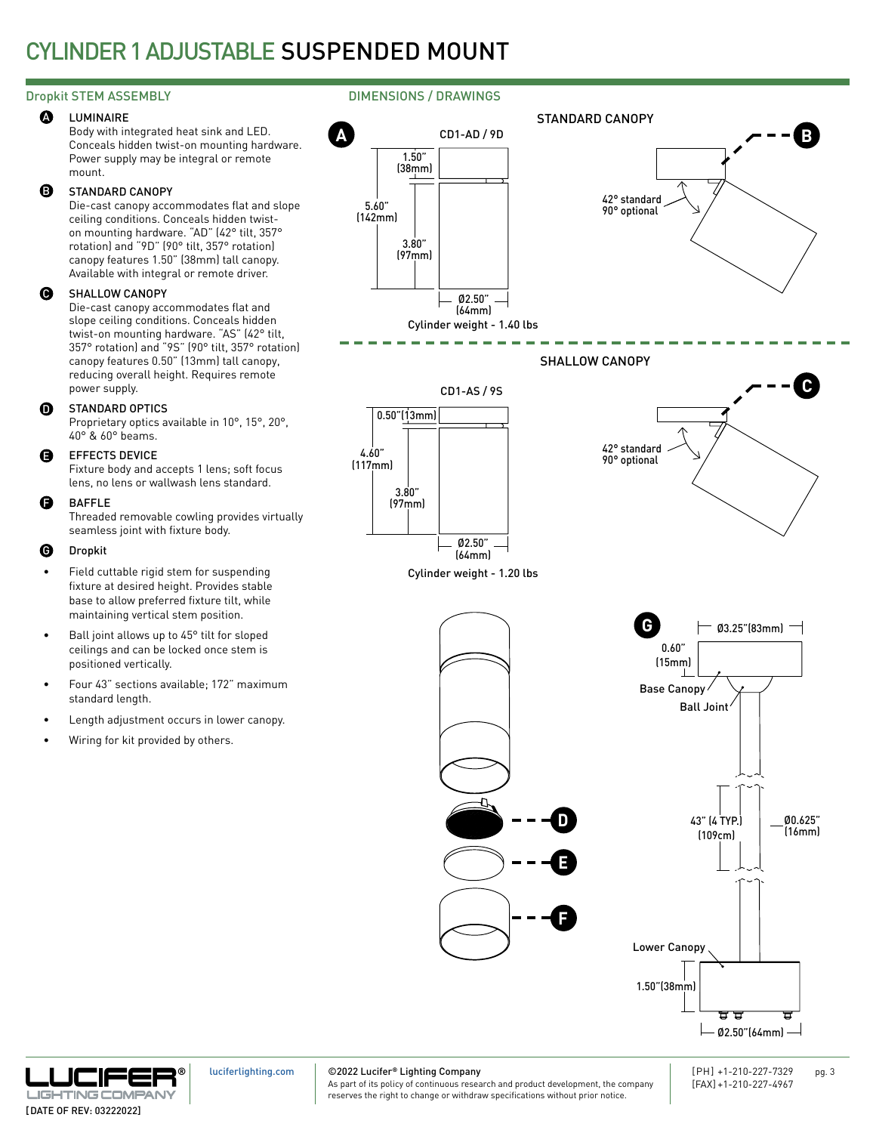## CYLINDER 1 ADJUSTABLE SUSPENDED MOUNT

#### LUMINAIRE **A**

Body with integrated heat sink and LED. Conceals hidden twist-on mounting hardware. Power supply may be integral or remote mount.

#### STANDARD CANOPY B

Die-cast canopy accommodates flat and slope ceiling conditions. Conceals hidden twiston mounting hardware. "AD" (42° tilt, 357° rotation) and "9D" (90° tilt, 357° rotation) canopy features 1.50" (38mm) tall canopy. Available with integral or remote driver.

#### SHALLOW CANOPY  $\boldsymbol{\Theta}$

Die-cast canopy accommodates flat and slope ceiling conditions. Conceals hidden twist-on mounting hardware. "AS" (42° tilt, 357° rotation) and "9S" (90° tilt, 357° rotation) canopy features 0.50" (13mm) tall canopy, reducing overall height. Requires remote power supply.

#### STANDARD OPTICS  $\Omega$

Proprietary optics available in 10°, 15°, 20°, 40° & 60° beams.

#### EFFECTS DEVICE E

Fixture body and accepts 1 lens; soft focus lens, no lens or wallwash lens standard.

#### BAFFLE F

Threaded removable cowling provides virtually seamless joint with fixture body.

#### Dropkit G

- Field cuttable rigid stem for suspending fixture at desired height. Provides stable base to allow preferred fixture tilt, while maintaining vertical stem position.
- Ball joint allows up to 45° tilt for sloped ceilings and can be locked once stem is positioned vertically.
- Four 43" sections available; 172" maximum standard length.
- Length adjustment occurs in lower canopy.
- Wiring for kit provided by others.

### Dropkit STEM ASSEMBLY **DIMENSIONS** / DRAWINGS





[luciferlighting.com](http://luciferlighting.com/)

©2022 Lucifer**®** Lighting Company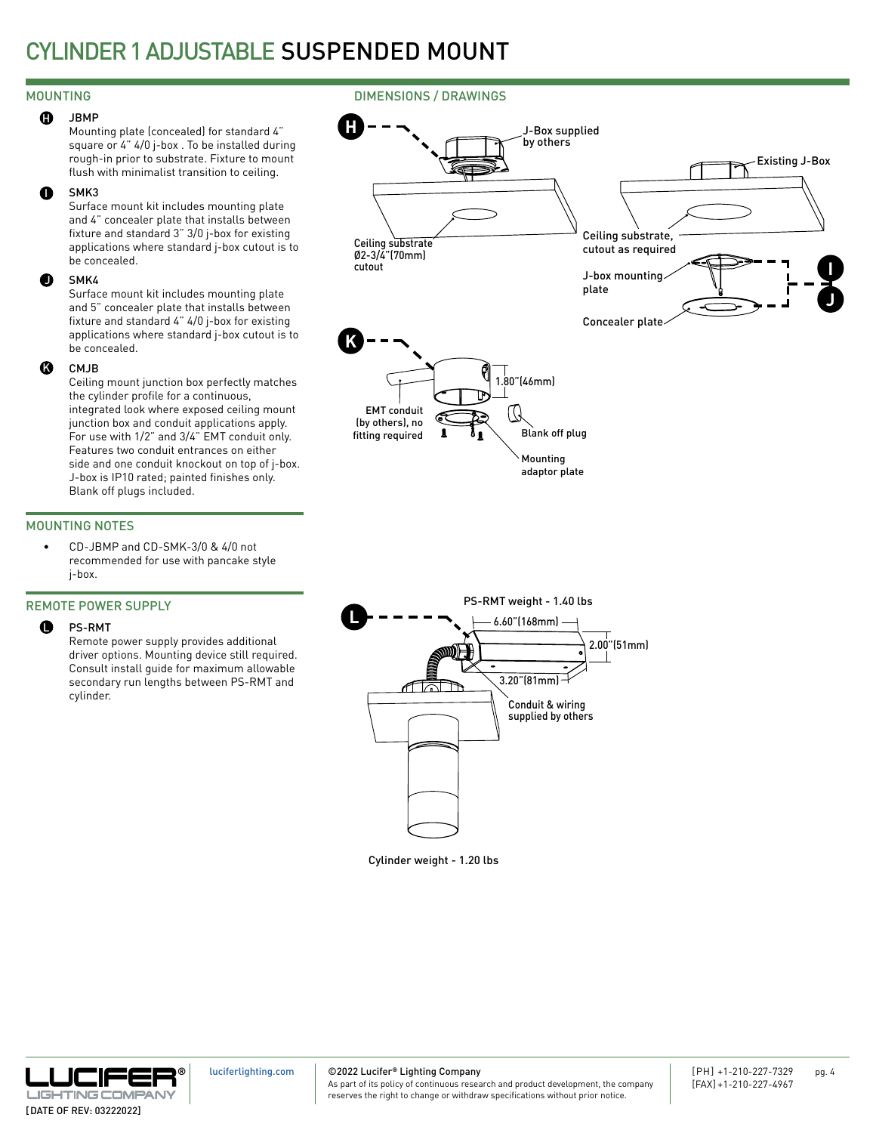## CYLINDER 1 ADJUSTABLE SUSPENDED MOUNT

**H**

### MOUNTING DIMENSIONS / DRAWINGS

#### JBMP  $\mathbf{G}$

Mounting plate (concealed) for standard 4" square or 4" 4/0 j-box . To be installed during rough-in prior to substrate. Fixture to mount flush with minimalist transition to ceiling.

#### SMK3 I

Surface mount kit includes mounting plate and 4" concealer plate that installs between fixture and standard 3" 3/0 j-box for existing applications where standard j-box cutout is to be concealed.

#### SMK4  $\bullet$

Surface mount kit includes mounting plate and 5" concealer plate that installs between fixture and standard 4" 4/0 j-box for existing applications where standard j-box cutout is to be concealed.

#### CM<sub>IR</sub> K

Ceiling mount junction box perfectly matches the cylinder profile for a continuous, integrated look where exposed ceiling mount junction box and conduit applications apply. For use with 1/2" and 3/4" EMT conduit only. Features two conduit entrances on either side and one conduit knockout on top of j-box. J-box is IP10 rated; painted finishes only. Blank off plugs included.

### MOUNTING NOTES

• CD-JBMP and CD-SMK-3/0 & 4/0 not recommended for use with pancake style j-box.

### REMOTE POWER SUPPLY

#### PS-RMT  $\bullet$

Remote power supply provides additional driver options. Mounting device still required. Consult install guide for maximum allowable secondary run lengths between PS-RMT and cylinder.

Ø2-3/4"(70mm) cutoutJ-box mounting plate Concealer plate **K** 1.80"(46mm) EMT conduit ( ) (by others), no Blank off plug fitting required

Ceiling substrate

PS-RMT weight - 1.40 lbs **L** 6.60"(168mm) 2.00"(51mm) 3.20"(81mm) ri ald Conduit & wiring supplied by others

Mounting adaptor plate

J-Box supplied by others

> Ceiling substrate, cutout as required

Cylinder weight - 1.20 lbs



### ©2022 Lucifer**®** Lighting Company

As part of its policy of continuous research and product development, the company reserves the right to change or withdraw specifications without prior notice.

Existing J-Box

**J**

**I**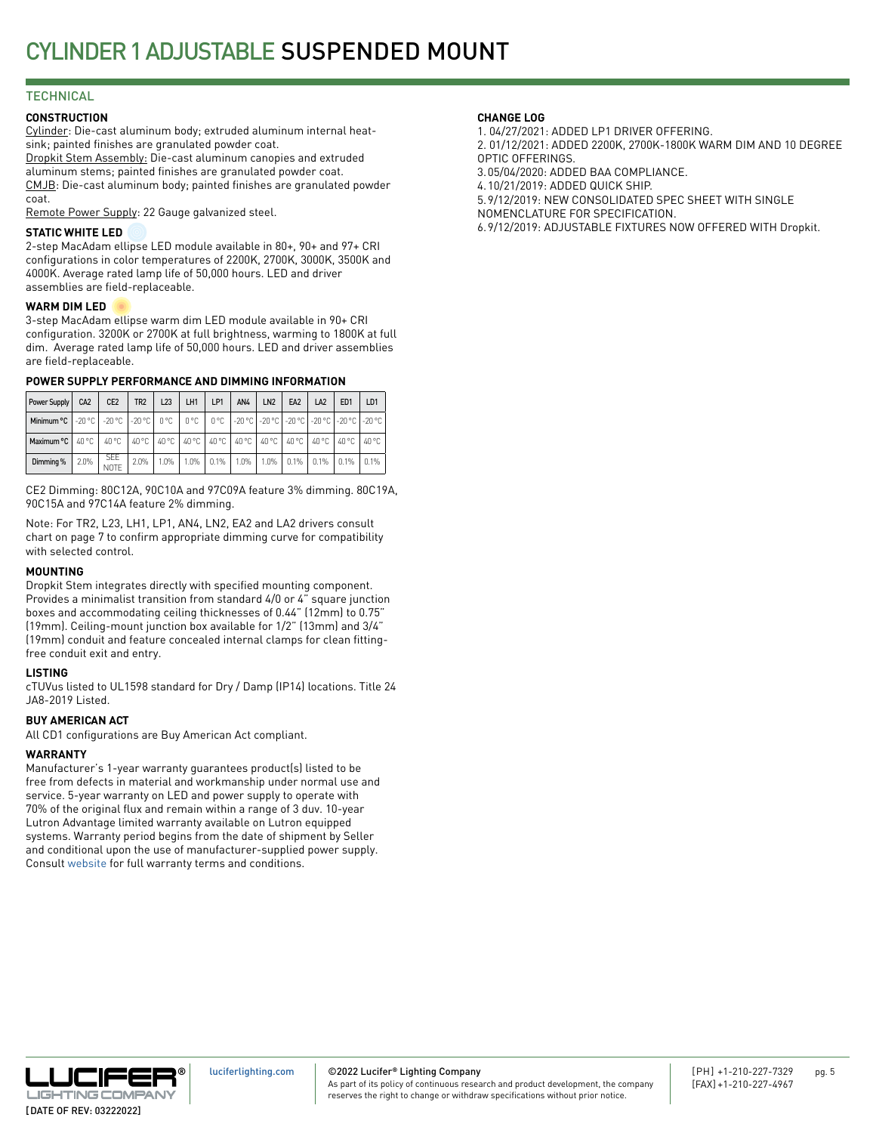### **TECHNICAL**

### **CONSTRUCTION**

Cylinder: Die-cast aluminum body; extruded aluminum internal heatsink; painted finishes are granulated powder coat. Dropkit Stem Assembly: Die-cast aluminum canopies and extruded aluminum stems; painted finishes are granulated powder coat. CMJB: Die-cast aluminum body; painted finishes are granulated powder coat.

Remote Power Supply: 22 Gauge galvanized steel.

### **STATIC WHITE LED**

2-step MacAdam ellipse LED module available in 80+, 90+ and 97+ CRI configurations in color temperatures of 2200K, 2700K, 3000K, 3500K and 4000K. Average rated lamp life of 50,000 hours. LED and driver assemblies are field-replaceable.

### **WARM DIM LED**

3-step MacAdam ellipse warm dim LED module available in 90+ CRI configuration. 3200K or 2700K at full brightness, warming to 1800K at full dim. Average rated lamp life of 50,000 hours. LED and driver assemblies are field-replaceable.

### **POWER SUPPLY PERFORMANCE AND DIMMING INFORMATION**

| Power Supply                                                                                                  | CA <sub>2</sub> | CE <sub>2</sub>                                                               | TR <sub>2</sub> | L23  | LH1  | LP1       | AN4     | LN <sub>2</sub> | EA <sub>2</sub> | LA <sub>2</sub> | ED <sub>1</sub> | LD <sub>1</sub> |
|---------------------------------------------------------------------------------------------------------------|-----------------|-------------------------------------------------------------------------------|-----------------|------|------|-----------|---------|-----------------|-----------------|-----------------|-----------------|-----------------|
| Minimum °C   -20 °C   -20 °C   -20 °C   0 °C   0 °C   0 °C   -20 °C   -20 °C   -20 °C   -20 °C   -20 °C   -20 |                 |                                                                               |                 |      |      |           |         |                 |                 |                 |                 |                 |
| Maximum $\mathrm{°C}$   40 $\mathrm{°C}$                                                                      |                 | 40 °C   40 °C   40 °C   40 °C   40 °C   40 °C   40 °C   40 °C   40 °C   40 °C |                 |      |      |           |         |                 |                 |                 |                 | $40^{\circ}$ C  |
| Dimming %                                                                                                     | 2.0%            | <b>SEE</b><br><b>NOTE</b>                                                     | 2.0%            | 1.0% | 1.0% | $ 0.1\% $ | $1.0\%$ | $1.0\%$         | $0.1\%$ 0.1%    |                 | 0.1%            | 0.1%            |

CE2 Dimming: 80C12A, 90C10A and 97C09A feature 3% dimming. 80C19A, 90C15A and 97C14A feature 2% dimming.

Note: For TR2, L23, LH1, LP1, AN4, LN2, EA2 and LA2 drivers consult chart on page 7 to confirm appropriate dimming curve for compatibility with selected control.

### **MOUNTING**

Dropkit Stem integrates directly with specified mounting component. Provides a minimalist transition from standard 4/0 or 4" square junction boxes and accommodating ceiling thicknesses of 0.44" (12mm) to 0.75" (19mm). Ceiling-mount junction box available for 1/2" (13mm) and 3/4" (19mm) conduit and feature concealed internal clamps for clean fittingfree conduit exit and entry.

### **LISTING**

cTUVus listed to UL1598 standard for Dry / Damp (IP14) locations. Title 24 JA8-2019 Listed.

### **BUY AMERICAN ACT**

All CD1 configurations are Buy American Act compliant.

### **WARRANTY**

Manufacturer's 1-year warranty guarantees product(s) listed to be free from defects in material and workmanship under normal use and service. 5-year warranty on LED and power supply to operate with 70% of the original flux and remain within a range of 3 duv. 10-year Lutron Advantage limited warranty available on Lutron equipped systems. Warranty period begins from the date of shipment by Seller and conditional upon the use of manufacturer-supplied power supply. Consult [website](http://luciferlighting.com/Resources/Full-Warranty) for full warranty terms and conditions.

### **CHANGE LOG**

1. 04/27/2021: ADDED LP1 DRIVER OFFERING.

2. 01/12/2021: ADDED 2200K, 2700K-1800K WARM DIM AND 10 DEGREE OPTIC OFFERINGS.

3.05/04/2020: ADDED BAA COMPLIANCE.

4.10/21/2019: ADDED QUICK SHIP.

5.9/12/2019: NEW CONSOLIDATED SPEC SHEET WITH SINGLE

NOMENCLATURE FOR SPECIFICATION.

6.9/12/2019: ADJUSTABLE FIXTURES NOW OFFERED WITH Dropkit.



©2022 Lucifer**®** Lighting Company